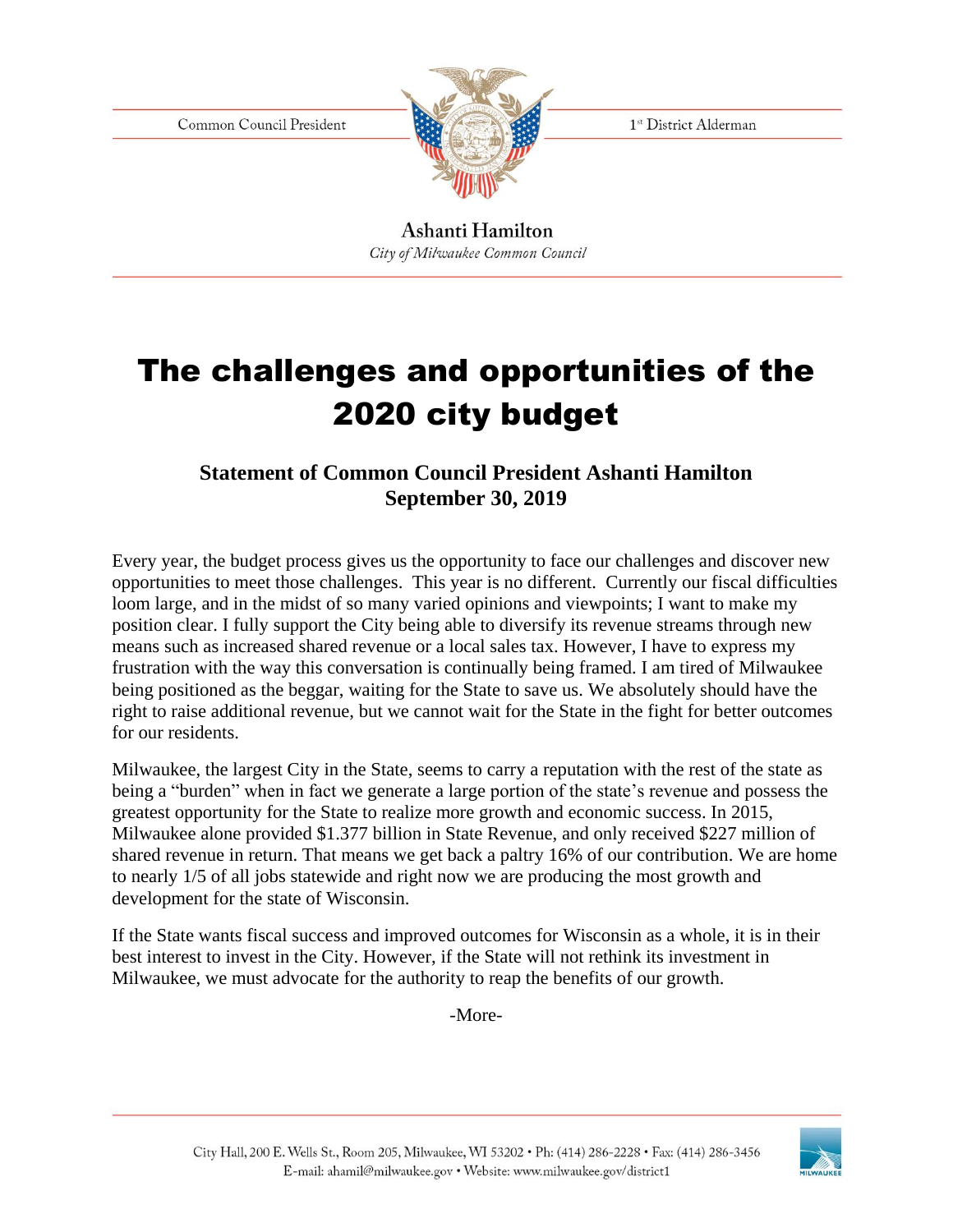Common Council President



1<sup>st</sup> District Alderman

Ashanti Hamilton City of Milwaukee Common Council

## The challenges and opportunities of the 2020 city budget

## **Statement of Common Council President Ashanti Hamilton September 30, 2019**

Every year, the budget process gives us the opportunity to face our challenges and discover new opportunities to meet those challenges. This year is no different. Currently our fiscal difficulties loom large, and in the midst of so many varied opinions and viewpoints; I want to make my position clear. I fully support the City being able to diversify its revenue streams through new means such as increased shared revenue or a local sales tax. However, I have to express my frustration with the way this conversation is continually being framed. I am tired of Milwaukee being positioned as the beggar, waiting for the State to save us. We absolutely should have the right to raise additional revenue, but we cannot wait for the State in the fight for better outcomes for our residents.

Milwaukee, the largest City in the State, seems to carry a reputation with the rest of the state as being a "burden" when in fact we generate a large portion of the state's revenue and possess the greatest opportunity for the State to realize more growth and economic success. In 2015, Milwaukee alone provided \$1.377 billion in State Revenue, and only received \$227 million of shared revenue in return. That means we get back a paltry 16% of our contribution. We are home to nearly 1/5 of all jobs statewide and right now we are producing the most growth and development for the state of Wisconsin.

If the State wants fiscal success and improved outcomes for Wisconsin as a whole, it is in their best interest to invest in the City. However, if the State will not rethink its investment in Milwaukee, we must advocate for the authority to reap the benefits of our growth.

-More-